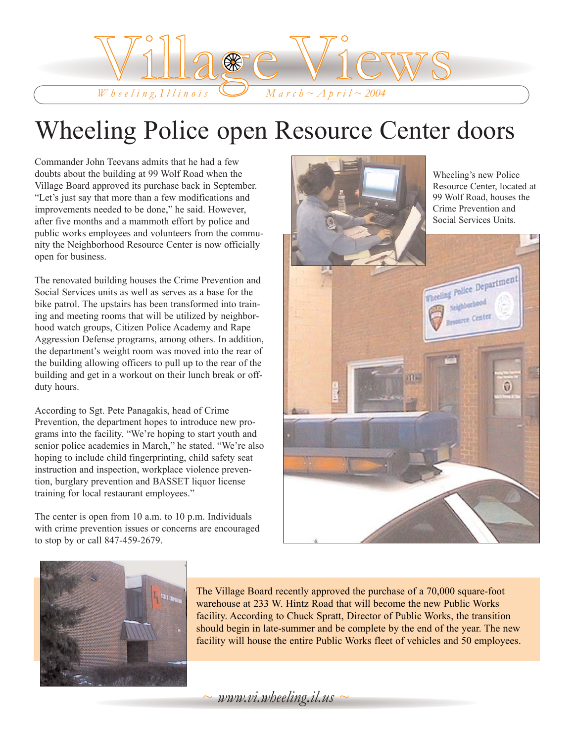

# Wheeling Police open Resource Center doors

Commander John Teevans admits that he had a few doubts about the building at 99 Wolf Road when the Village Board approved its purchase back in September. "Let's just say that more than a few modifications and improvements needed to be done," he said. However, after five months and a mammoth effort by police and public works employees and volunteers from the community the Neighborhood Resource Center is now officially open for business.

The renovated building houses the Crime Prevention and Social Services units as well as serves as a base for the bike patrol. The upstairs has been transformed into training and meeting rooms that will be utilized by neighborhood watch groups, Citizen Police Academy and Rape Aggression Defense programs, among others. In addition, the department's weight room was moved into the rear of the building allowing officers to pull up to the rear of the building and get in a workout on their lunch break or offduty hours.

According to Sgt. Pete Panagakis, head of Crime Prevention, the department hopes to introduce new programs into the facility. "We're hoping to start youth and senior police academies in March," he stated. "We're also hoping to include child fingerprinting, child safety seat instruction and inspection, workplace violence prevention, burglary prevention and BASSET liquor license training for local restaurant employees."

The center is open from 10 a.m. to 10 p.m. Individuals with crime prevention issues or concerns are encouraged to stop by or call 847-459-2679.





The Village Board recently approved the purchase of a 70,000 square-foot warehouse at 233 W. Hintz Road that will become the new Public Works facility. According to Chuck Spratt, Director of Public Works, the transition should begin in late-summer and be complete by the end of the year. The new facility will house the entire Public Works fleet of vehicles and 50 employees.

*~ www.vi.wheeling.il.us ~*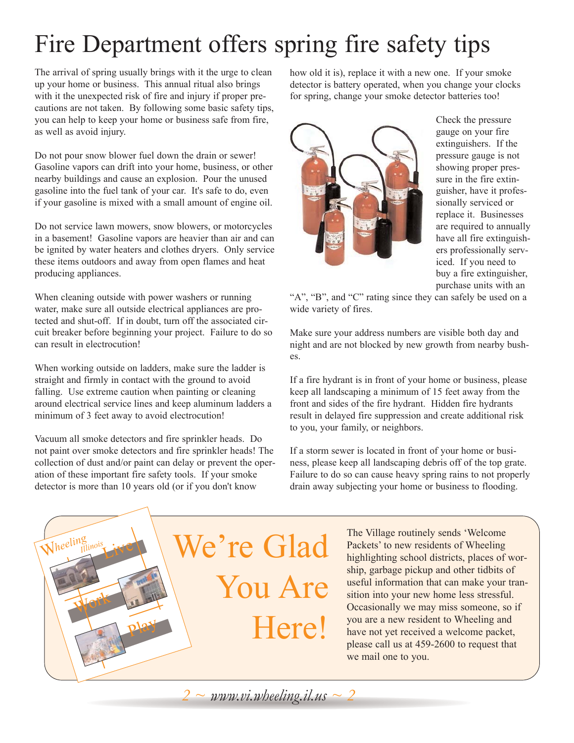# Fire Department offers spring fire safety tips

The arrival of spring usually brings with it the urge to clean up your home or business. This annual ritual also brings with it the unexpected risk of fire and injury if proper precautions are not taken. By following some basic safety tips, you can help to keep your home or business safe from fire, as well as avoid injury.

Do not pour snow blower fuel down the drain or sewer! Gasoline vapors can drift into your home, business, or other nearby buildings and cause an explosion. Pour the unused gasoline into the fuel tank of your car. It's safe to do, even if your gasoline is mixed with a small amount of engine oil.

Do not service lawn mowers, snow blowers, or motorcycles in a basement! Gasoline vapors are heavier than air and can be ignited by water heaters and clothes dryers. Only service these items outdoors and away from open flames and heat producing appliances.

When cleaning outside with power washers or running water, make sure all outside electrical appliances are protected and shut-off. If in doubt, turn off the associated circuit breaker before beginning your project. Failure to do so can result in electrocution!

When working outside on ladders, make sure the ladder is straight and firmly in contact with the ground to avoid falling. Use extreme caution when painting or cleaning around electrical service lines and keep aluminum ladders a minimum of 3 feet away to avoid electrocution!

Vacuum all smoke detectors and fire sprinkler heads. Do not paint over smoke detectors and fire sprinkler heads! The collection of dust and/or paint can delay or prevent the operation of these important fire safety tools. If your smoke detector is more than 10 years old (or if you don't know

how old it is), replace it with a new one. If your smoke detector is battery operated, when you change your clocks for spring, change your smoke detector batteries too!



Check the pressure gauge on your fire extinguishers. If the pressure gauge is not showing proper pressure in the fire extinguisher, have it professionally serviced or replace it. Businesses are required to annually have all fire extinguishers professionally serviced. If you need to buy a fire extinguisher, purchase units with an

"A", "B", and "C" rating since they can safely be used on a wide variety of fires.

Make sure your address numbers are visible both day and night and are not blocked by new growth from nearby bushes.

If a fire hydrant is in front of your home or business, please keep all landscaping a minimum of 15 feet away from the front and sides of the fire hydrant. Hidden fire hydrants result in delayed fire suppression and create additional risk to you, your family, or neighbors.

If a storm sewer is located in front of your home or business, please keep all landscaping debris off of the top grate. Failure to do so can cause heavy spring rains to not properly drain away subjecting your home or business to flooding.



The Village routinely sends 'Welcome Packets' to new residents of Wheeling highlighting school districts, places of worship, garbage pickup and other tidbits of useful information that can make your transition into your new home less stressful. Occasionally we may miss someone, so if you are a new resident to Wheeling and have not yet received a welcome packet, please call us at 459-2600 to request that we mail one to you.

*2 ~ www.vi.wheeling.il.us ~ 2*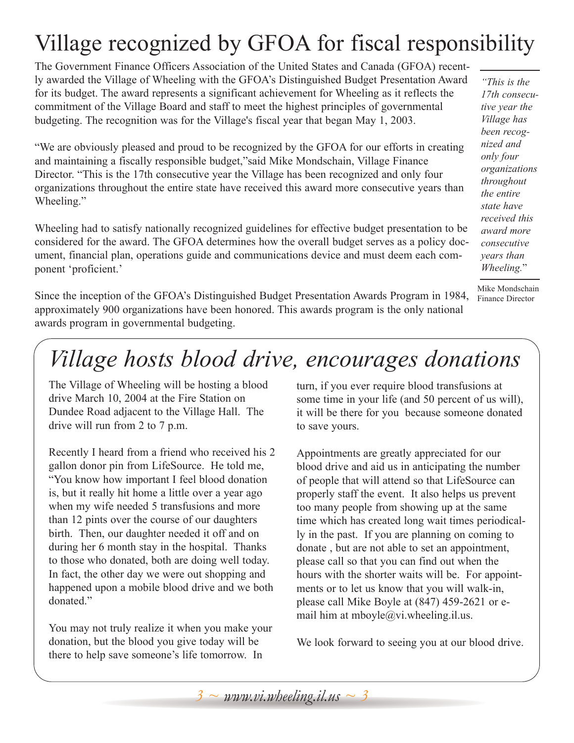## Village recognized by GFOA for fiscal responsibility

The Government Finance Officers Association of the United States and Canada (GFOA) recently awarded the Village of Wheeling with the GFOA's Distinguished Budget Presentation Award for its budget. The award represents a significant achievement for Wheeling as it reflects the commitment of the Village Board and staff to meet the highest principles of governmental budgeting. The recognition was for the Village's fiscal year that began May 1, 2003.

"We are obviously pleased and proud to be recognized by the GFOA for our efforts in creating and maintaining a fiscally responsible budget,"said Mike Mondschain, Village Finance Director. "This is the 17th consecutive year the Village has been recognized and only four organizations throughout the entire state have received this award more consecutive years than Wheeling."

Wheeling had to satisfy nationally recognized guidelines for effective budget presentation to be considered for the award. The GFOA determines how the overall budget serves as a policy document, financial plan, operations guide and communications device and must deem each component 'proficient.'

Since the inception of the GFOA's Distinguished Budget Presentation Awards Program in 1984, approximately 900 organizations have been honored. This awards program is the only national awards program in governmental budgeting.

*"This is the 17th consecutive year the Village has been recognized and only four organizations throughout the entire state have received this award more consecutive years than Wheeling.*"

Mike Mondschain Finance Director

# *Village hosts blood drive, encourages donations*

The Village of Wheeling will be hosting a blood drive March 10, 2004 at the Fire Station on Dundee Road adjacent to the Village Hall. The drive will run from 2 to 7 p.m.

Recently I heard from a friend who received his 2 gallon donor pin from LifeSource. He told me, "You know how important I feel blood donation is, but it really hit home a little over a year ago when my wife needed 5 transfusions and more than 12 pints over the course of our daughters birth. Then, our daughter needed it off and on during her 6 month stay in the hospital. Thanks to those who donated, both are doing well today. In fact, the other day we were out shopping and happened upon a mobile blood drive and we both donated."

You may not truly realize it when you make your donation, but the blood you give today will be there to help save someone's life tomorrow. In

turn, if you ever require blood transfusions at some time in your life (and 50 percent of us will), it will be there for you because someone donated to save yours.

Appointments are greatly appreciated for our blood drive and aid us in anticipating the number of people that will attend so that LifeSource can properly staff the event. It also helps us prevent too many people from showing up at the same time which has created long wait times periodically in the past. If you are planning on coming to donate , but are not able to set an appointment, please call so that you can find out when the hours with the shorter waits will be. For appointments or to let us know that you will walk-in, please call Mike Boyle at (847) 459-2621 or email him at mboyle@vi.wheeling.il.us.

We look forward to seeing you at our blood drive.

*3 ~ www.vi.wheeling.il.us ~ 3*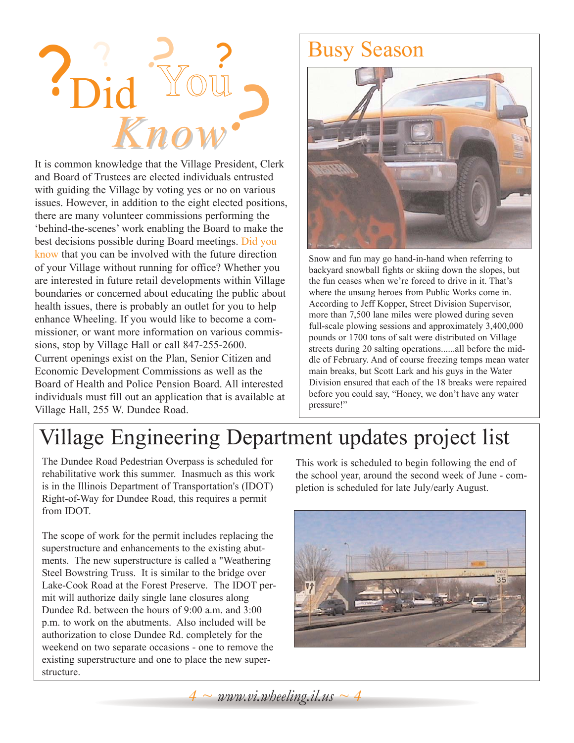

It is common knowledge that the Village President, Clerk and Board of Trustees are elected individuals entrusted with guiding the Village by voting yes or no on various issues. However, in addition to the eight elected positions, there are many volunteer commissions performing the 'behind-the-scenes' work enabling the Board to make the best decisions possible during Board meetings. Did you know that you can be involved with the future direction of your Village without running for office? Whether you are interested in future retail developments within Village boundaries or concerned about educating the public about health issues, there is probably an outlet for you to help enhance Wheeling. If you would like to become a commissioner, or want more information on various commissions, stop by Village Hall or call 847-255-2600. Current openings exist on the Plan, Senior Citizen and Economic Development Commissions as well as the Board of Health and Police Pension Board. All interested individuals must fill out an application that is available at Village Hall, 255 W. Dundee Road.

### Busy Season



Snow and fun may go hand-in-hand when referring to backyard snowball fights or skiing down the slopes, but the fun ceases when we're forced to drive in it. That's where the unsung heroes from Public Works come in. According to Jeff Kopper, Street Division Supervisor, more than 7,500 lane miles were plowed during seven full-scale plowing sessions and approximately 3,400,000 pounds or 1700 tons of salt were distributed on Village streets during 20 salting operations......all before the middle of February. And of course freezing temps mean water main breaks, but Scott Lark and his guys in the Water Division ensured that each of the 18 breaks were repaired before you could say, "Honey, we don't have any water pressure!"

### Village Engineering Department updates project list

The Dundee Road Pedestrian Overpass is scheduled for rehabilitative work this summer. Inasmuch as this work is in the Illinois Department of Transportation's (IDOT) Right-of-Way for Dundee Road, this requires a permit from IDOT.

The scope of work for the permit includes replacing the superstructure and enhancements to the existing abutments. The new superstructure is called a "Weathering Steel Bowstring Truss. It is similar to the bridge over Lake-Cook Road at the Forest Preserve. The IDOT permit will authorize daily single lane closures along Dundee Rd. between the hours of 9:00 a.m. and 3:00 p.m. to work on the abutments. Also included will be authorization to close Dundee Rd. completely for the weekend on two separate occasions - one to remove the existing superstructure and one to place the new superstructure.

This work is scheduled to begin following the end of the school year, around the second week of June - completion is scheduled for late July/early August.



 $4 \sim \text{www.vi.}$ *wheeling.il.us*  $\sim 4$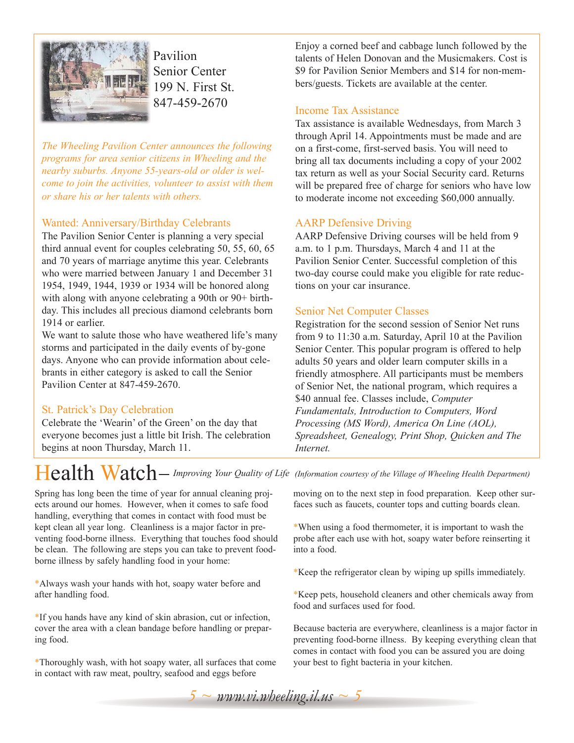

Pavilion Senior Center 199 N. First St. 847-459-2670

*The Wheeling Pavilion Center announces the following programs for area senior citizens in Wheeling and the nearby suburbs. Anyone 55-years-old or older is welcome to join the activities, volunteer to assist with them or share his or her talents with others.*

### Wanted: Anniversary/Birthday Celebrants

The Pavilion Senior Center is planning a very special third annual event for couples celebrating 50, 55, 60, 65 and 70 years of marriage anytime this year. Celebrants who were married between January 1 and December 31 1954, 1949, 1944, 1939 or 1934 will be honored along with along with anyone celebrating a 90th or 90+ birthday. This includes all precious diamond celebrants born 1914 or earlier.

We want to salute those who have weathered life's many storms and participated in the daily events of by-gone days. Anyone who can provide information about celebrants in either category is asked to call the Senior Pavilion Center at 847-459-2670.

### St. Patrick's Day Celebration

Celebrate the 'Wearin' of the Green' on the day that everyone becomes just a little bit Irish. The celebration begins at noon Thursday, March 11.

Enjoy a corned beef and cabbage lunch followed by the talents of Helen Donovan and the Musicmakers. Cost is \$9 for Pavilion Senior Members and \$14 for non-members/guests. Tickets are available at the center.

### Income Tax Assistance

Tax assistance is available Wednesdays, from March 3 through April 14. Appointments must be made and are on a first-come, first-served basis. You will need to bring all tax documents including a copy of your 2002 tax return as well as your Social Security card. Returns will be prepared free of charge for seniors who have low to moderate income not exceeding \$60,000 annually.

### AARP Defensive Driving

AARP Defensive Driving courses will be held from 9 a.m. to 1 p.m. Thursdays, March 4 and 11 at the Pavilion Senior Center. Successful completion of this two-day course could make you eligible for rate reductions on your car insurance.

### Senior Net Computer Classes

Registration for the second session of Senior Net runs from 9 to 11:30 a.m. Saturday, April 10 at the Pavilion Senior Center. This popular program is offered to help adults 50 years and older learn computer skills in a friendly atmosphere. All participants must be members of Senior Net, the national program, which requires a \$40 annual fee. Classes include, *Computer Fundamentals, Introduction to Computers, Word Processing (MS Word), America On Line (AOL), Spreadsheet, Genealogy, Print Shop, Quicken and The Internet.*

### Health Watch *Improving Your Quality of Life (Information courtesy of the Village of Wheeling Health Department)*

Spring has long been the time of year for annual cleaning projects around our homes. However, when it comes to safe food handling, everything that comes in contact with food must be kept clean all year long. Cleanliness is a major factor in preventing food-borne illness. Everything that touches food should be clean. The following are steps you can take to prevent foodborne illness by safely handling food in your home:

\*Always wash your hands with hot, soapy water before and after handling food.

\*If you hands have any kind of skin abrasion, cut or infection, cover the area with a clean bandage before handling or preparing food.

\*Thoroughly wash, with hot soapy water, all surfaces that come in contact with raw meat, poultry, seafood and eggs before

moving on to the next step in food preparation. Keep other surfaces such as faucets, counter tops and cutting boards clean.

\*When using a food thermometer, it is important to wash the probe after each use with hot, soapy water before reinserting it into a food.

\*Keep the refrigerator clean by wiping up spills immediately.

\*Keep pets, household cleaners and other chemicals away from food and surfaces used for food.

Because bacteria are everywhere, cleanliness is a major factor in preventing food-borne illness. By keeping everything clean that comes in contact with food you can be assured you are doing your best to fight bacteria in your kitchen.

 $5 \sim$  *www.vi.wheeling.il.us*  $\sim$  5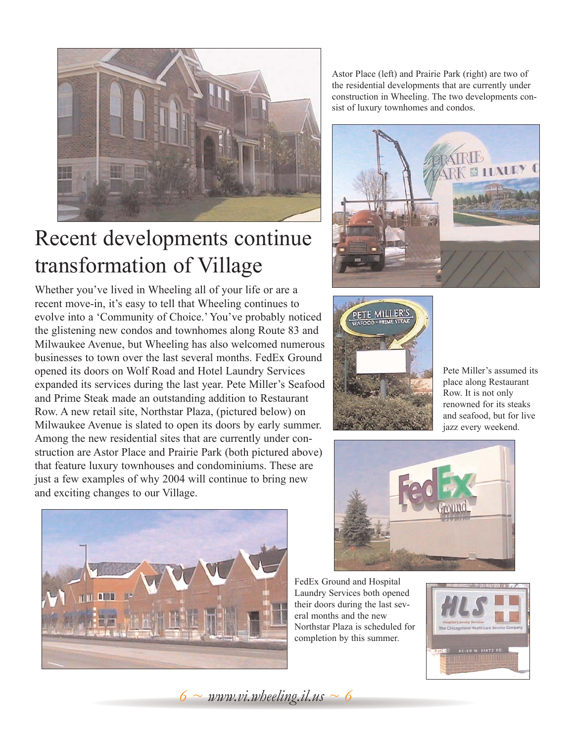

### Recent developments continue transformation of Village

Whether you've lived in Wheeling all of your life or are a recent move-in, it's easy to tell that Wheeling continues to evolve into a 'Community of Choice.' You've probably noticed the glistening new condos and townhomes along Route 83 and Milwaukee Avenue, but Wheeling has also welcomed numerous businesses to town over the last several months. FedEx Ground opened its doors on Wolf Road and Hotel Laundry Services expanded its services during the last year. Pete Miller's Seafood and Prime Steak made an outstanding addition to Restaurant Row. A new retail site, Northstar Plaza, (pictured below) on Milwaukee Avenue is slated to open its doors by early summer. Among the new residential sites that are currently under construction are Astor Place and Prairie Park (both pictured above) that feature luxury townhouses and condominiums. These are just a few examples of why 2004 will continue to bring new and exciting changes to our Village.



Astor Place (left) and Prairie Park (right) are two of the residential developments that are currently under construction in Wheeling. The two developments consist of luxury townhomes and condos.





Pete Miller's assumed its place along Restaurant Row. It is not only renowned for its steaks and seafood, but for live jazz every weekend.



FedEx Ground and Hospital Laundry Services both opened their doors during the last several months and the new Northstar Plaza is scheduled for completion by this summer.



 $6 \sim$  *www.vi.wheeling.il.us*  $\sim$  6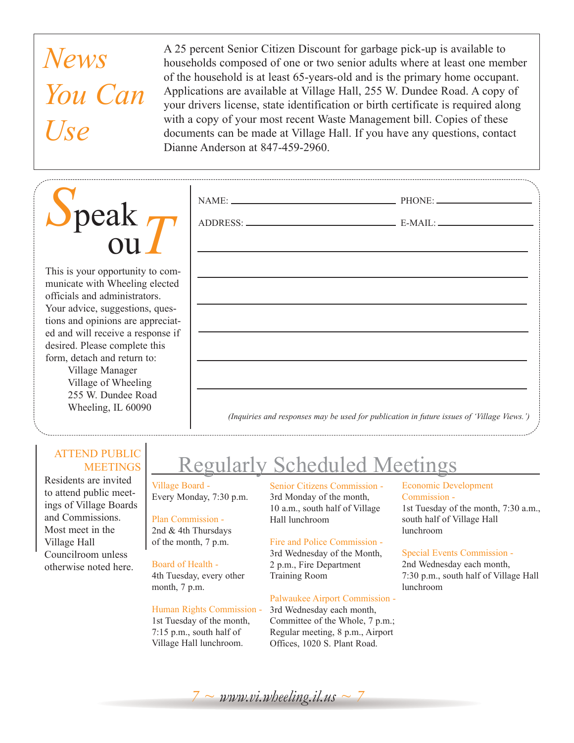# *News You Can Use*

*S*peak ou*T*

This is your opportunity to communicate with Wheeling elected officials and administrators. Your advice, suggestions, questions and opinions are appreciated and will receive a response if desired. Please complete this form, detach and return to:

Village Manager Village of Wheeling 255 W. Dundee Road Wheeling, IL 60090

### ATTEND PUBLIC **MEETINGS**

Residents are invited to attend public meetings of Village Boards and Commissions. Most meet in the Village Hall Councilroom unless otherwise noted here.

A 25 percent Senior Citizen Discount for garbage pick-up is available to households composed of one or two senior adults where at least one member of the household is at least 65-years-old and is the primary home occupant. Applications are available at Village Hall, 255 W. Dundee Road. A copy of your drivers license, state identification or birth certificate is required along with a copy of your most recent Waste Management bill. Copies of these documents can be made at Village Hall. If you have any questions, contact Dianne Anderson at 847-459-2960.

### Regularly Scheduled Meetings

Village Board - Every Monday, 7:30 p.m.

### Plan Commission -

2nd & 4th Thursdays of the month, 7 p.m.

### Board of Health -

4th Tuesday, every other month, 7 p.m.

#### Human Rights Commission -

1st Tuesday of the month, 7:15 p.m., south half of Village Hall lunchroom.

Senior Citizens Commission - 3rd Monday of the month, 10 a.m., south half of Village Hall lunchroom

### Fire and Police Commission -

3rd Wednesday of the Month, 2 p.m., Fire Department Training Room

### Palwaukee Airport Commission -

3rd Wednesday each month, Committee of the Whole, 7 p.m.; Regular meeting, 8 p.m., Airport Offices, 1020 S. Plant Road.

### Economic Development Commission -

1st Tuesday of the month, 7:30 a.m., south half of Village Hall lunchroom

#### Special Events Commission -

2nd Wednesday each month, 7:30 p.m., south half of Village Hall lunchroom

*7 ~ www.vi.wheeling.il.us ~ 7*